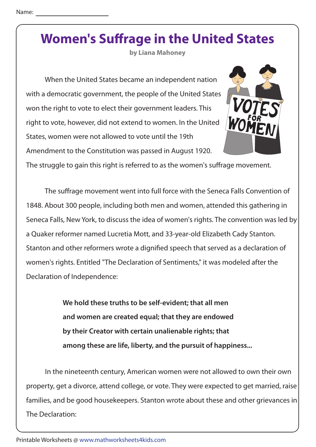**by Liana Mahoney**

 When the United States became an independent nation with a democratic government, the people of the United States won the right to vote to elect their government leaders. This right to vote, however, did not extend to women. In the United States, women were not allowed to vote until the 19th Amendment to the Constitution was passed in August 1920.



The struggle to gain this right is referred to as the women's suffrage movement.

The suffrage movement went into full force with the Seneca Falls Convention of 1848. About 300 people, including both men and women, attended this gathering in Seneca Falls, New York, to discuss the idea of women's rights. The convention was led by a Quaker reformer named Lucretia Mott, and 33-year-old Elizabeth Cady Stanton. Stanton and other reformers wrote a dignified speech that served as a declaration of women's rights. Entitled "The Declaration of Sentiments," it was modeled after the Declaration of Independence:

> **We hold these truths to be self-evident; that all men and women are created equal; that they are endowed by their Creator with certain unalienable rights; that among these are life, liberty, and the pursuit of happiness...**

 In the nineteenth century, American women were not allowed to own their own property, get a divorce, attend college, or vote. They were expected to get married, raise families, and be good housekeepers. Stanton wrote about these and other grievances in The Declaration: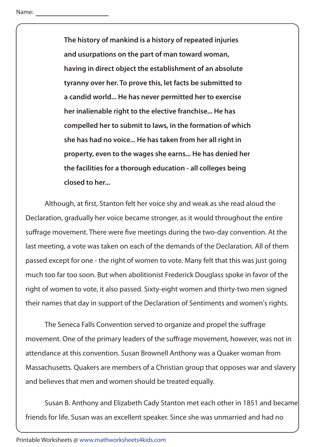**The history of mankind is a history of repeated injuries and usurpations on the part of man toward woman, having in direct object the establishment of an absolute tyranny over her. To prove this, let facts be submitted to a candid world... He has never permitted her to exercise her inalienable right to the elective franchise... He has compelled her to submit to laws, in the formation of which she has had no voice... He has taken from her all right in property, even to the wages she earns... He has denied her the facilities for a thorough education - all colleges being closed to her...**

Although, at first, Stanton felt her voice shy and weak as she read aloud the Declaration, gradually her voice became stronger, as it would throughout the entire suffrage movement. There were five meetings during the two-day convention. At the last meeting, a vote was taken on each of the demands of the Declaration. All of them passed except for one - the right of women to vote. Many felt that this was just going much too far too soon. But when abolitionist Frederick Douglass spoke in favor of the right of women to vote, it also passed. Sixty-eight women and thirty-two men signed their names that day in support of the Declaration of Sentiments and women's rights.

The Seneca Falls Convention served to organize and propel the suffrage movement. One of the primary leaders of the suffrage movement, however, was not in attendance at this convention. Susan Brownell Anthony was a Quaker woman from Massachusetts. Quakers are members of a Christian group that opposes war and slavery and believes that men and women should be treated equally.

 Susan B. Anthony and Elizabeth Cady Stanton met each other in 1851 and became friends for life. Susan was an excellent speaker. Since she was unmarried and had no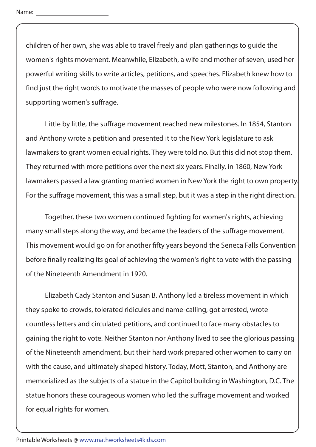children of her own, she was able to travel freely and plan gatherings to guide the women's rights movement. Meanwhile, Elizabeth, a wife and mother of seven, used her powerful writing skills to write articles, petitions, and speeches. Elizabeth knew how to find just the right words to motivate the masses of people who were now following and supporting women's suffrage.

Little by little, the suffrage movement reached new milestones. In 1854, Stanton and Anthony wrote a petition and presented it to the New York legislature to ask lawmakers to grant women equal rights. They were told no. But this did not stop them. They returned with more petitions over the next six years. Finally, in 1860, New York lawmakers passed a law granting married women in New York the right to own property. For the suffrage movement, this was a small step, but it was a step in the right direction.

Together, these two women continued fighting for women's rights, achieving many small steps along the way, and became the leaders of the suffrage movement. This movement would go on for another fifty years beyond the Seneca Falls Convention before finally realizing its goal of achieving the women's right to vote with the passing of the Nineteenth Amendment in 1920.

 Elizabeth Cady Stanton and Susan B. Anthony led a tireless movement in which they spoke to crowds, tolerated ridicules and name-calling, got arrested, wrote countless letters and circulated petitions, and continued to face many obstacles to gaining the right to vote. Neither Stanton nor Anthony lived to see the glorious passing of the Nineteenth amendment, but their hard work prepared other women to carry on with the cause, and ultimately shaped history. Today, Mott, Stanton, and Anthony are memorialized as the subjects of a statue in the Capitol building in Washington, D.C. The statue honors these courageous women who led the suffrage movement and worked for equal rights for women.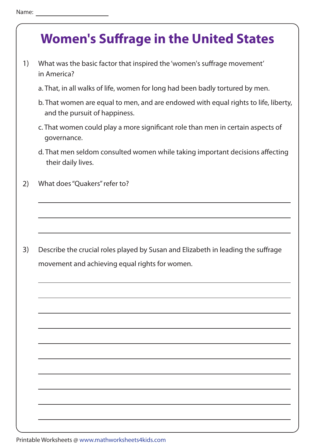- 1) What was the basic factor that inspired the 'women's suffrage movement' in America?
	- a. That, in all walks of life, women for long had been badly tortured by men.
	- b. That women are equal to men, and are endowed with equal rights to life, liberty, and the pursuit of happiness.
	- c. That women could play a more significant role than men in certain aspects of governance.
	- d. That men seldom consulted women while taking important decisions affecting their daily lives.
- 2) What does "Quakers" refer to?

3) Describe the crucial roles played by Susan and Elizabeth in leading the suffrage movement and achieving equal rights for women.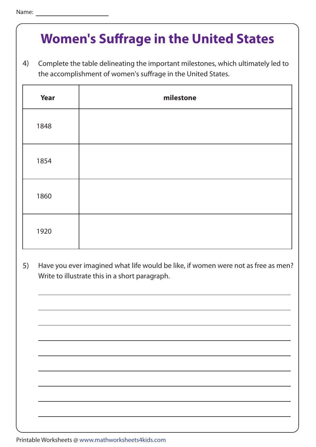4) Complete the table delineating the important milestones, which ultimately led to the accomplishment of women's suffrage in the United States.

| <b>Year</b> | milestone |
|-------------|-----------|
| 1848        |           |
| 1854        |           |
| 1860        |           |
| 1920        |           |

5) Have you ever imagined what life would be like, if women were not as free as men? Write to illustrate this in a short paragraph.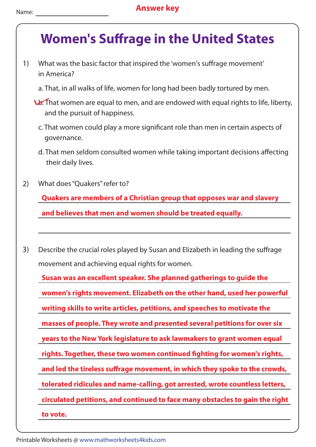- 1) What was the basic factor that inspired the 'women's suffrage movement' in America?
	- a. That, in all walks of life, women for long had been badly tortured by men.
	- b. That women are equal to men, and are endowed with equal rights to life, liberty, and the pursuit of happiness.
		- c. That women could play a more significant role than men in certain aspects of governance.
		- d. That men seldom consulted women while taking important decisions affecting their daily lives.
- 2) What does "Quakers" refer to?

**Quakers are members of a Christian group that opposes war and slavery and believes that men and women should be treated equally.**

3) Describe the crucial roles played by Susan and Elizabeth in leading the suffrage movement and achieving equal rights for women.

**writing skills to write articles, petitions, and speeches to motivate the Susan was an excellent speaker. She planned gatherings to guide the women's rights movement. Elizabeth on the other hand, used her powerful masses of people. They wrote and presented several petitions for over six years to the New York legislature to ask lawmakers to grant women equal rights. Together, these two women continued !ghting for women's rights,** and led the tireless suffrage movement, in which they spoke to the crowds, **tolerated ridicules and name-calling, got arrested, wrote countless letters, circulated petitions, and continued to face many obstacles to gain the right to vote.**

Printable Worksheets @ www.mathworksheets4kids.com